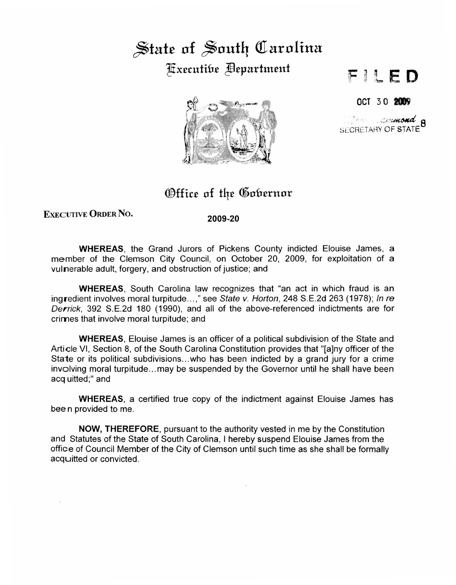## State of South Carolina ~x£cutitn~ ~£pnrtm£nf



## $l \in D$

OCT 30 2009

 $\mathcal{L}$  , ...  $\mathcal{L}$  , ...  $\mathcal{L}$  , ... SECRETARY OF STATE

## EXECUTIVE ORDER NO.

2009-20

Office of the Gobernor

WHEREAS, the Grand Jurors of Pickens County indicted Elouise James, a member of the Clemson City Council, on October 20, 2009, for exploitation of a vulnerable adult, forgery, and obstruction of justice; and

WHEREAS, South Carolina law recognizes that "an act in which fraud is an ingredient involves moral turpitude...," see State v. Horton, 248 S.E.2d 263 (1978); In re Derrick, 392 S.E.2d 180 (1990), and all of the above-referenced indictments are for crimes that involve moral turpitude; and

WHEREAS, Elouise James is an officer of a political subdivision of the State and Article VI, Section 8, of the South Carolina Constitution provides that "[a]ny officer of the State or its political subdivisions...who has been indicted by a grand jury for a crime involving moral turpitude...may be suspended by the Governor until he shall have been acquitted;" and

WHEREAS, a certified true copy of the indictment against Elouise James has bee n provided to me.

NOW, THEREFORE, pursuant to the authority vested in me by the Constitution and Statutes of the State of South Carolina, I hereby suspend Elouise James from the office of Council Member of the City of Clemson until such time as she shall be formally acquitted or convicted.